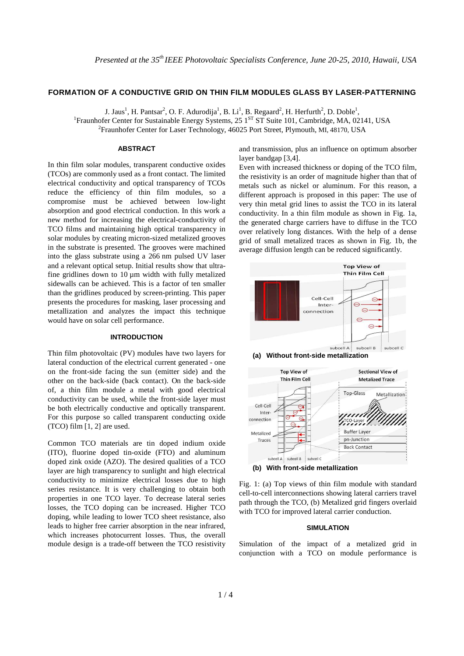# **FORMATION OF A CONDUCTIVE GRID ON THIN FILM MODULES GLASS BY LASER-PATTERNING**

J. Jaus<sup>1</sup>, H. Pantsar<sup>2</sup>, O. F. Adurodija<sup>1</sup>, B. Li<sup>1</sup>, B. Regaard<sup>2</sup>, H. Herfurth<sup>2</sup>, D. Doble<sup>1</sup>, <sup>1</sup> Fraunhofer Center for Sustainable Energy Systems, 25 1<sup>ST</sup> ST Suite 101, Cambridge, MA, 02141, USA <sup>2</sup> Fraunhofer Center for Laser Technology, 46025 Port Street, Plymouth, MI, 48170, USA

### **ABSTRACT**

In thin film solar modules, transparent conductive oxides (TCOs) are commonly used as a front contact. The limited electrical conductivity and optical transparency of TCOs reduce the efficiency of thin film modules, so a compromise must be achieved between low-light absorption and good electrical conduction. In this work a new method for increasing the electrical-conductivity of TCO films and maintaining high optical transparency in solar modules by creating micron-sized metalized grooves in the substrate is presented. The grooves were machined into the glass substrate using a 266 nm pulsed UV laser and a relevant optical setup. Initial results show that ultrafine gridlines down to  $10 \mu m$  width with fully metalized sidewalls can be achieved. This is a factor of ten smaller than the gridlines produced by screen-printing. This paper presents the procedures for masking, laser processing and metallization and analyzes the impact this technique would have on solar cell performance.

# **INTRODUCTION**

Thin film photovoltaic (PV) modules have two layers for lateral conduction of the electrical current generated - one on the front-side facing the sun (emitter side) and the other on the back-side (back contact). On the back-side of, a thin film module a metal with good electrical conductivity can be used, while the front-side layer must be both electrically conductive and optically transparent. For this purpose so called transparent conducting oxide (TCO) film [1, 2] are used.

Common TCO materials are tin doped indium oxide (ITO), fluorine doped tin-oxide (FTO) and aluminum doped zink oxide (AZO). The desired qualities of a TCO layer are high transparency to sunlight and high electrical conductivity to minimize electrical losses due to high series resistance. It is very challenging to obtain both properties in one TCO layer. To decrease lateral series losses, the TCO doping can be increased. Higher TCO doping, while leading to lower TCO sheet resistance, also leads to higher free carrier absorption in the near infrared, which increases photocurrent losses. Thus, the overall module design is a trade-off between the TCO resistivity

and transmission, plus an influence on optimum absorber layer bandgap [3,4].

Even with increased thickness or doping of the TCO film, the resistivity is an order of magnitude higher than that of metals such as nickel or aluminum. For this reason, a different approach is proposed in this paper: The use of very thin metal grid lines to assist the TCO in its lateral conductivity. In a thin film module as shown in Fig. 1a, the generated charge carriers have to diffuse in the TCO over relatively long distances. With the help of a dense grid of small metalized traces as shown in Fig. 1b, the average diffusion length can be reduced significantly.







Fig. 1: (a) Top views of thin film module with standard cell-to-cell interconnections showing lateral carriers travel path through the TCO, (b) Metalized grid fingers overlaid with TCO for improved lateral carrier conduction.

#### **SIMULATION**

Simulation of the impact of a metalized grid in conjunction with a TCO on module performance is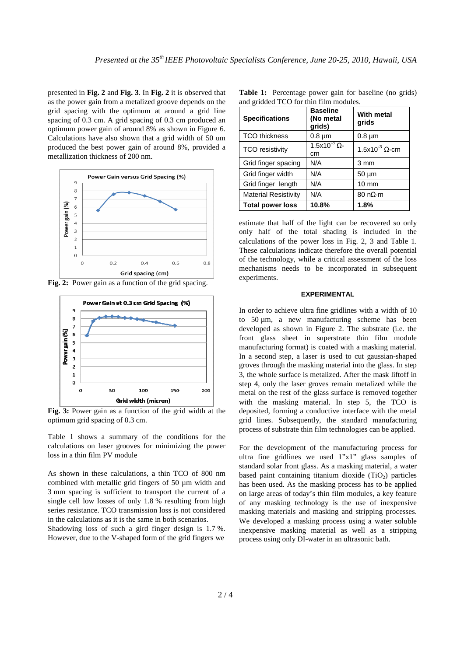presented in **Fig. 2** and **Fig. 3**. In **Fig. 2** it is observed that as the power gain from a metalized groove depends on the grid spacing with the optimum at around a grid line spacing of 0.3 cm. A grid spacing of 0.3 cm produced an optimum power gain of around 8% as shown in Figure 6. Calculations have also shown that a grid width of 50 um produced the best power gain of around 8%, provided a metallization thickness of 200 nm.



**Fig. 2:** Power gain as a function of the grid spacing.



**Fig. 3:** Power gain as a function of the grid width at the optimum grid spacing of 0.3 cm.

Table 1 shows a summary of the conditions for the calculations on laser grooves for minimizing the power loss in a thin film PV module

As shown in these calculations, a thin TCO of 800 nm combined with metallic grid fingers of 50 µm width and 3 mm spacing is sufficient to transport the current of a single cell low losses of only 1.8 % resulting from high series resistance. TCO transmission loss is not considered in the calculations as it is the same in both scenarios.

Shadowing loss of such a gird finger design is 1.7 %. However, due to the V-shaped form of the grid fingers we

**Table 1:** Percentage power gain for baseline (no grids) and gridded TCO for thin film modules.

| <b>Specifications</b>       | <b>Baseline</b><br>(No metal<br>grids) | With metal<br>grids                 |
|-----------------------------|----------------------------------------|-------------------------------------|
| <b>TCO</b> thickness        | $0.8 \mu m$                            | $0.8 \mu m$                         |
| <b>TCO</b> resistivity      | $1.5x10^{3}$ $\Omega$ -<br>cm          | 1.5x10 $3$ Q-cm                     |
| Grid finger spacing         | N/A                                    | 3 mm                                |
| Grid finger width           | N/A                                    | $50 \mu m$                          |
| Grid finger length          | N/A                                    | $10 \text{ mm}$                     |
| <b>Material Resistivity</b> | N/A                                    | $80 \text{ n}\Omega \cdot \text{m}$ |
| <b>Total power loss</b>     | 10.8%                                  | 1.8%                                |

estimate that half of the light can be recovered so only only half of the total shading is included in the calculations of the power loss in Fig. 2, 3 and Table 1. These calculations indicate therefore the overall potential of the technology, while a critical assessment of the loss mechanisms needs to be incorporated in subsequent experiments.

### **EXPERIMENTAL**

In order to achieve ultra fine gridlines with a width of 10 to 50 µm, a new manufacturing scheme has been developed as shown in Figure 2. The substrate (i.e. the front glass sheet in superstrate thin film module manufacturing format) is coated with a masking material. In a second step, a laser is used to cut gaussian-shaped groves through the masking material into the glass. In step 3, the whole surface is metalized. After the mask liftoff in step 4, only the laser groves remain metalized while the metal on the rest of the glass surface is removed together with the masking material. In step 5, the TCO is deposited, forming a conductive interface with the metal grid lines. Subsequently, the standard manufacturing process of substrate thin film technologies can be applied.

For the development of the manufacturing process for ultra fine gridlines we used 1"x1" glass samples of standard solar front glass. As a masking material, a water based paint containing titanium dioxide  $(TiO<sub>2</sub>)$  particles has been used. As the masking process has to be applied on large areas of today's thin film modules, a key feature of any masking technology is the use of inexpensive masking materials and masking and stripping processes. We developed a masking process using a water soluble inexpensive masking material as well as a stripping process using only DI-water in an ultrasonic bath.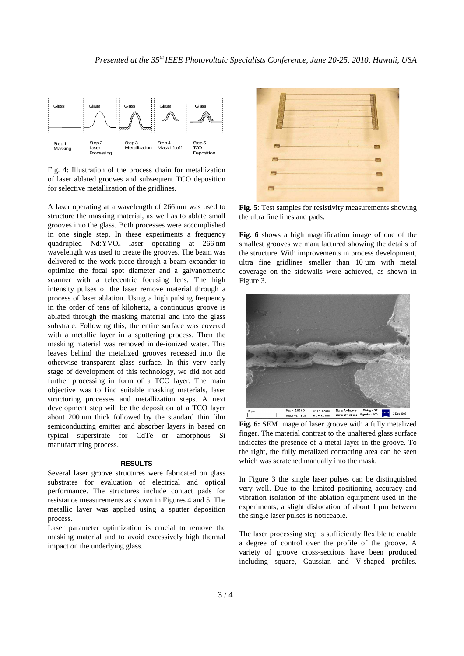

Fig. 4: Illustration of the process chain for metallization of laser ablated grooves and subsequent TCO deposition for selective metallization of the gridlines.

A laser operating at a wavelength of 266 nm was used to structure the masking material, as well as to ablate small grooves into the glass. Both processes were accomplished in one single step. In these experiments a frequency quadrupled  $Nd:YVO<sub>4</sub>$  laser operating at 266 nm wavelength was used to create the grooves. The beam was delivered to the work piece through a beam expander to optimize the focal spot diameter and a galvanometric scanner with a telecentric focusing lens. The high intensity pulses of the laser remove material through a process of laser ablation. Using a high pulsing frequency in the order of tens of kilohertz, a continuous groove is ablated through the masking material and into the glass substrate. Following this, the entire surface was covered with a metallic layer in a sputtering process. Then the masking material was removed in de-ionized water. This leaves behind the metalized grooves recessed into the otherwise transparent glass surface. In this very early stage of development of this technology, we did not add further processing in form of a TCO layer. The main objective was to find suitable masking materials, laser structuring processes and metallization steps. A next development step will be the deposition of a TCO layer about 200 nm thick followed by the standard thin film semiconducting emitter and absorber layers in based on typical superstrate for CdTe or amorphous Si manufacturing process.

#### **RESULTS**

Several laser groove structures were fabricated on glass substrates for evaluation of electrical and optical performance. The structures include contact pads for resistance measurements as shown in Figures 4 and 5. The metallic layer was applied using a sputter deposition process.

Laser parameter optimization is crucial to remove the masking material and to avoid excessively high thermal impact on the underlying glass.



**Fig. 5**: Test samples for resistivity measurements showing the ultra fine lines and pads.

**Fig. 6** shows a high magnification image of one of the smallest grooves we manufactured showing the details of the structure. With improvements in process development, ultra fine gridlines smaller than 10 um with metal coverage on the sidewalls were achieved, as shown in Figure 3.



**Fig. 6:** SEM image of laser groove with a fully metalized finger. The material contrast to the unaltered glass surface indicates the presence of a metal layer in the groove. To the right, the fully metalized contacting area can be seen which was scratched manually into the mask.

In Figure 3 the single laser pulses can be distinguished very well. Due to the limited positioning accuracy and vibration isolation of the ablation equipment used in the experiments, a slight dislocation of about 1  $\mu$ m between the single laser pulses is noticeable.

The laser processing step is sufficiently flexible to enable a degree of control over the profile of the groove. A variety of groove cross-sections have been produced including square, Gaussian and V-shaped profiles.